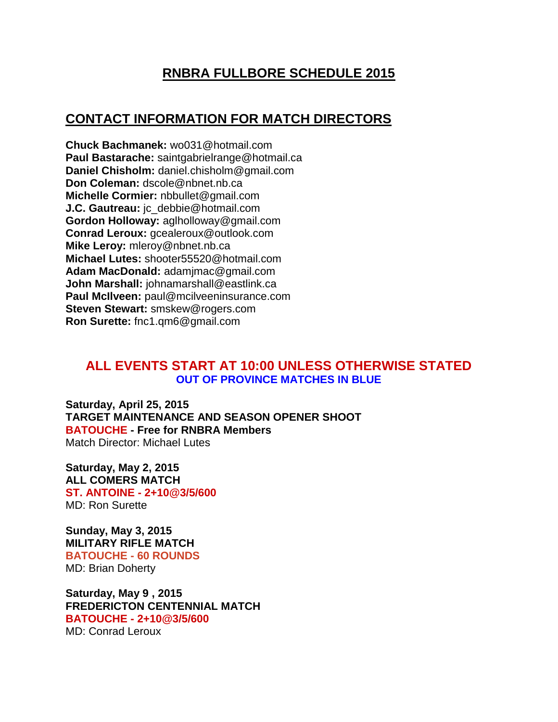## **RNBRA FULLBORE SCHEDULE 2015**

## **CONTACT INFORMATION FOR MATCH DIRECTORS**

**Chuck Bachmanek:** wo031@hotmail.com **Paul Bastarache:** saintgabrielrange@hotmail.ca **Daniel Chisholm:** daniel.chisholm@gmail.com **Don Coleman:** dscole@nbnet.nb.ca **Michelle Cormier:** nbbullet@gmail.com **J.C. Gautreau:** jc\_debbie@hotmail.com **Gordon Holloway:** aglholloway@gmail.com **Conrad Leroux:** gcealeroux@outlook.com **Mike Leroy:** mleroy@nbnet.nb.ca **Michael Lutes:** shooter55520@hotmail.com **Adam MacDonald:** adamjmac@gmail.com **John Marshall:** johnamarshall@eastlink.ca **Paul McIlveen:** paul@mcilveeninsurance.com **Steven Stewart:** smskew@rogers.com **Ron Surette:** fnc1.qm6@gmail.com

## **ALL EVENTS START AT 10:00 UNLESS OTHERWISE STATED OUT OF PROVINCE MATCHES IN BLUE**

**Saturday, April 25, 2015 TARGET MAINTENANCE AND SEASON OPENER SHOOT BATOUCHE - Free for RNBRA Members** Match Director: Michael Lutes

**Saturday, May 2, 2015 ALL COMERS MATCH ST. ANTOINE - 2+10@3/5/600** MD: Ron Surette

**Sunday, May 3, 2015 MILITARY RIFLE MATCH BATOUCHE - 60 ROUNDS** MD: Brian Doherty

**Saturday, May 9 , 2015 FREDERICTON CENTENNIAL MATCH BATOUCHE - 2+10@3/5/600** MD: Conrad Leroux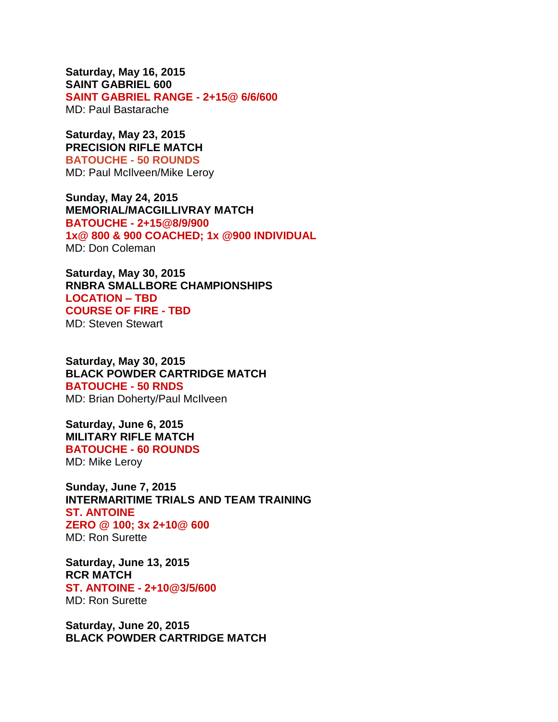**Saturday, May 16, 2015 SAINT GABRIEL 600 SAINT GABRIEL RANGE - 2+15@ 6/6/600** MD: Paul Bastarache

**Saturday, May 23, 2015 PRECISION RIFLE MATCH BATOUCHE - 50 ROUNDS** MD: Paul McIlveen/Mike Leroy

**Sunday, May 24, 2015 MEMORIAL/MACGILLIVRAY MATCH BATOUCHE - 2+15@8/9/900 1x@ 800 & 900 COACHED; 1x @900 INDIVIDUAL** MD: Don Coleman

**Saturday, May 30, 2015 RNBRA SMALLBORE CHAMPIONSHIPS LOCATION – TBD COURSE OF FIRE - TBD** MD: Steven Stewart

**Saturday, May 30, 2015 BLACK POWDER CARTRIDGE MATCH BATOUCHE - 50 RNDS** MD: Brian Doherty/Paul McIlveen

**Saturday, June 6, 2015 MILITARY RIFLE MATCH BATOUCHE - 60 ROUNDS** MD: Mike Leroy

**Sunday, June 7, 2015 INTERMARITIME TRIALS AND TEAM TRAINING ST. ANTOINE ZERO @ 100; 3x 2+10@ 600** MD: Ron Surette

**Saturday, June 13, 2015 RCR MATCH ST. ANTOINE - 2+10@3/5/600** MD: Ron Surette

**Saturday, June 20, 2015 BLACK POWDER CARTRIDGE MATCH**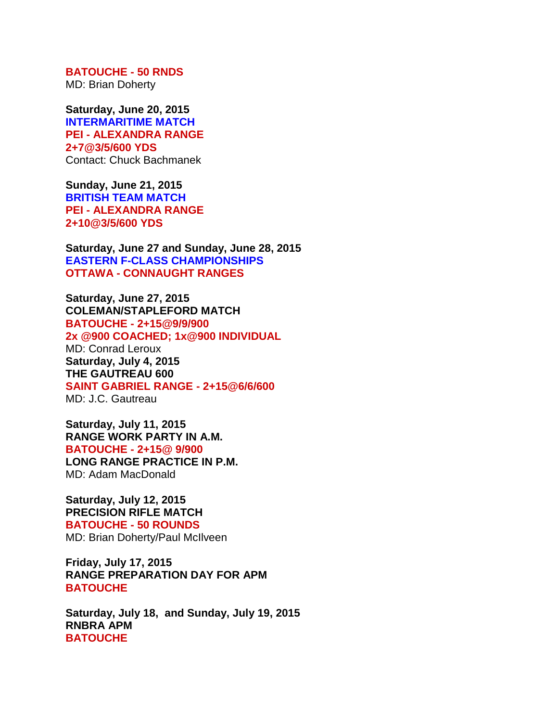**BATOUCHE - 50 RNDS** MD: Brian Doherty

**Saturday, June 20, 2015 INTERMARITIME MATCH PEI - ALEXANDRA RANGE 2+7@3/5/600 YDS** Contact: Chuck Bachmanek

**Sunday, June 21, 2015 BRITISH TEAM MATCH PEI - ALEXANDRA RANGE 2+10@3/5/600 YDS**

**Saturday, June 27 and Sunday, June 28, 2015 EASTERN F-CLASS CHAMPIONSHIPS OTTAWA - CONNAUGHT RANGES**

**Saturday, June 27, 2015 COLEMAN/STAPLEFORD MATCH BATOUCHE - 2+15@9/9/900 2x @900 COACHED; 1x@900 INDIVIDUAL** MD: Conrad Leroux **Saturday, July 4, 2015 THE GAUTREAU 600 SAINT GABRIEL RANGE - 2+15@6/6/600** MD: J.C. Gautreau

**Saturday, July 11, 2015 RANGE WORK PARTY IN A.M. BATOUCHE - 2+15@ 9/900 LONG RANGE PRACTICE IN P.M.** MD: Adam MacDonald

**Saturday, July 12, 2015 PRECISION RIFLE MATCH BATOUCHE - 50 ROUNDS** MD: Brian Doherty/Paul McIlveen

**Friday, July 17, 2015 RANGE PREPARATION DAY FOR APM BATOUCHE**

**Saturday, July 18, and Sunday, July 19, 2015 RNBRA APM BATOUCHE**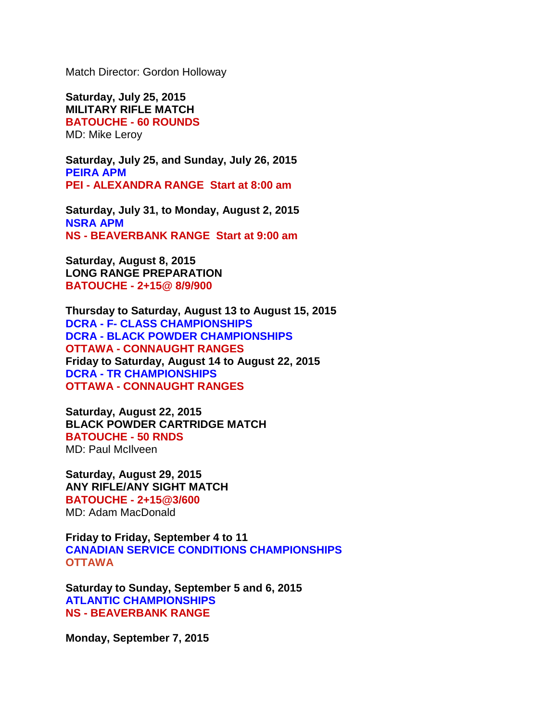Match Director: Gordon Holloway

**Saturday, July 25, 2015 MILITARY RIFLE MATCH BATOUCHE - 60 ROUNDS** MD: Mike Leroy

**Saturday, July 25, and Sunday, July 26, 2015 PEIRA APM PEI - ALEXANDRA RANGE Start at 8:00 am**

**Saturday, July 31, to Monday, August 2, 2015 NSRA APM NS - BEAVERBANK RANGE Start at 9:00 am**

**Saturday, August 8, 2015 LONG RANGE PREPARATION BATOUCHE - 2+15@ 8/9/900**

**Thursday to Saturday, August 13 to August 15, 2015 DCRA - F- CLASS CHAMPIONSHIPS DCRA - BLACK POWDER CHAMPIONSHIPS OTTAWA - CONNAUGHT RANGES Friday to Saturday, August 14 to August 22, 2015 DCRA - TR CHAMPIONSHIPS OTTAWA - CONNAUGHT RANGES**

**Saturday, August 22, 2015 BLACK POWDER CARTRIDGE MATCH BATOUCHE - 50 RNDS**

MD: Paul McIlveen

**Saturday, August 29, 2015 ANY RIFLE/ANY SIGHT MATCH BATOUCHE - 2+15@3/600** MD: Adam MacDonald

**Friday to Friday, September 4 to 11 CANADIAN SERVICE CONDITIONS CHAMPIONSHIPS OTTAWA**

**Saturday to Sunday, September 5 and 6, 2015 ATLANTIC CHAMPIONSHIPS NS - BEAVERBANK RANGE**

**Monday, September 7, 2015**